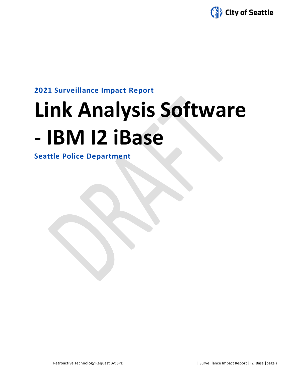

# **2021 Surveillance Impact Report**

# **Link Analysis Software - IBM I2 iBase**

**Seattle Police Department**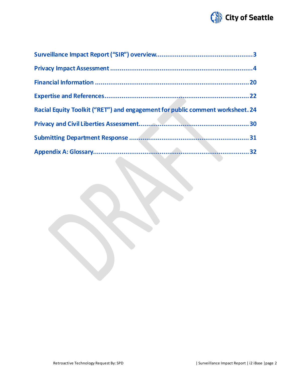

| Racial Equity Toolkit ("RET") and engagement for public comment worksheet. 24 |  |
|-------------------------------------------------------------------------------|--|
|                                                                               |  |
|                                                                               |  |
|                                                                               |  |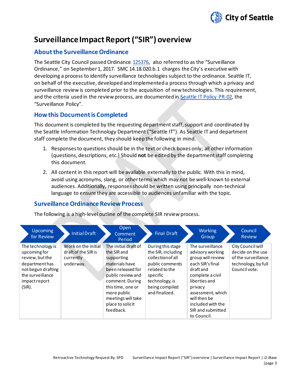

# **Surveillance Impact Report ("SIR") overview**

# **About the Surveillance Ordinance**

The Seattle City Council passed Ordinance [125376,](http://seattle.legistar.com/LegislationDetail.aspx?ID=2981172&GUID=0B2FEFC0-822F-4907-9409-E318537E5330&Options=Advanced&Search=) also referred to as the "Surveillance Ordinance," on September1, 2017. SMC 14.18.020.b.1 charges the City's executive with developing a process to identify surveillance technologies subject to the ordinance. Seattle IT, on behalf of the executive, developed and implemented a process through which a privacy and surveillance review is completed prior to the acquisition of new technologies. This requirement, and the criteria used in the review process, are documented in Seattle IT [Policy PR-02,](https://seattlegov.sharepoint.com/sites/IT-CDR/Operating_Docs/PR-02SurveillancePolicy.pdf) the "Surveillance Policy".

# **How this Document is Completed**

This document is completed by the requesting department staff, support and coordinated by the Seattle Information Technology Department ("Seattle IT"). As Seattle IT and department staff complete the document, they should keep the following in mind.

- 1. Responses to questions should be in the text or check boxes only; all other information (questions, descriptions, etc.) Should **not** be edited by the department staff completing this document.
- 2. All content in this report will be available externally to the public. With this in mind, avoid using acronyms, slang, or other terms which may not be well-known to external audiences. Additionally, responses should be written using principally non-technical language to ensure they are accessible to audiences unfamiliar with the topic.

# **Surveillance Ordinance Review Process**

The following is a high-level outline of the complete SIR review process.

| <b>Upcoming</b><br>for Review                                                                                                                  | <b>Initial Draft</b>                                                 | Open<br>Comment<br>Period                                                                                                                                                                                                   | <b>Final Draft</b>                                                                                                                                                  | <b>Working</b><br>Group                                                                                                                                                                                                                  | Council<br><b>Review</b>                                                                              |
|------------------------------------------------------------------------------------------------------------------------------------------------|----------------------------------------------------------------------|-----------------------------------------------------------------------------------------------------------------------------------------------------------------------------------------------------------------------------|---------------------------------------------------------------------------------------------------------------------------------------------------------------------|------------------------------------------------------------------------------------------------------------------------------------------------------------------------------------------------------------------------------------------|-------------------------------------------------------------------------------------------------------|
| The technology is<br>upcoming for<br>review, but the<br>department has<br>not begun drafting<br>the surveillance<br>impact report<br>$(SIR)$ . | Work on the initial<br>draft of the SIR is<br>currently<br>underway. | The initial draft of<br>the SIR and<br>supporting<br>materials have<br>been released for<br>public review and<br>comment. During<br>this time, one or<br>more public<br>meetings will take<br>place to solicit<br>feedback. | During this stage<br>the SIR, including<br>collection of all<br>public comments<br>related to the<br>specific<br>technology, is<br>being compiled<br>and finalized. | The surveillance<br>advisory working<br>group will review<br>each SIR's final<br>draft and<br>complete a civil<br>liberties and<br>privacy<br>assessment, which<br>will then be<br>included with the<br>SIR and submitted<br>to Council. | City Council will<br>decide on the use<br>of the surveillance<br>technology, by full<br>Council vote. |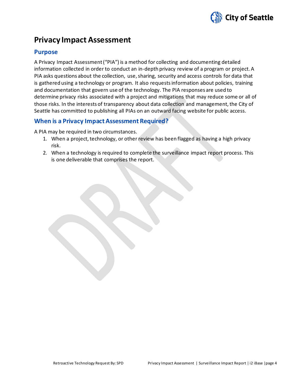

# **Privacy Impact Assessment**

# **Purpose**

A Privacy Impact Assessment ("PIA") is a method for collecting and documenting detailed information collected in order to conduct an in-depth privacy review of a program or project. A PIA asks questions about the collection, use, sharing, security and access controls for data that is gathered using a technology or program. It also requests information about policies, training and documentation that govern use of the technology. The PIA responses are used to determine privacy risks associated with a project and mitigations that may reduce some or all of those risks. In the interests of transparency about data collection and management, the City of Seattle has committed to publishing all PIAs on an outward facing website for public access.

# **When is a Privacy Impact Assessment Required?**

A PIA may be required in two circumstances.

- 1. When a project, technology, or other review has been flagged as having a high privacy risk.
- 2. When a technology is required to complete the surveillance impact report process. This is one deliverable that comprises the report.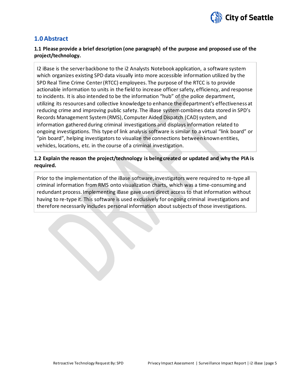

# **1.0 Abstract**

## **1.1 Please provide a brief description (one paragraph) of the purpose and proposed use of the project/technology.**

I2 iBase is the server backbone to the i2 Analysts Notebook application, a software system which organizes existing SPD data visually into more accessible information utilized by the SPD Real Time Crime Center (RTCC) employees. The purpose of the RTCC is to provide actionable information to units in the field to increase officer safety, efficiency, and response to incidents. It is also intended to be the information "hub" of the police department, utilizing its resources and collective knowledge to enhance the department's effectiveness at reducing crime and improving public safety. The iBase system combines data stored in SPD's Records Management System (RMS), Computer Aided Dispatch (CAD) system, and information gathered during criminal investigations and displays information related to ongoing investigations. This type of link analysis software is similar to a virtual "link board" or "pin board", helping investigators to visualize the connections between known entities, vehicles, locations, etc. in the course of a criminal investigation.

## **1.2 Explain the reason the project/technology is being created or updated and why the PIA is required.**

Prior to the implementation of the iBase software, investigators were required to re-type all criminal information from RMS onto visualization charts, which was a time-consuming and redundant process. Implementing iBase gave users direct access to that information without having to re-type it. This software is used exclusively for ongoing criminal investigations and therefore necessarily includes personal information about subjects of those investigations.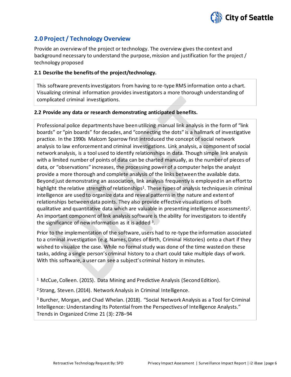

# **2.0 Project / Technology Overview**

Provide an overview of the project or technology. The overview gives the context and background necessary to understand the purpose, mission and justification for the project / technology proposed

#### **2.1 Describe the benefits of the project/technology.**

This software prevents investigators from having to re-type RMS information onto a chart. Visualizing criminal information provides investigators a more thorough understanding of complicated criminal investigations.

#### **2.2 Provide any data or research demonstrating anticipated benefits.**

Professional police departments have been utilizing manual link analysis in the form of "link boards" or "pin boards" for decades, and "connecting the dots" is a hallmark of investigative practice. In the 1990s Malcom Sparrow first introduced the concept of social network analysis to law enforcement and criminal investigations. Link analysis, a component of social network analysis, is a tool used to identify relationships in data. Though simple link analysis with a limited number of points of data can be charted manually, as the number of pieces of data, or "observations" increases, the processing power of a computer helps the analyst provide a more thorough and complete analysis of the links between the available data. Beyond just demonstrating an association, link analysis frequently is employed in an effort to highlight the relative strength of relationships<sup>1</sup>. These types of analysis techniques in criminal intelligence are used to organize data and reveal patterns in the nature and extent of relationships between data points. They also provide effective visualizations of both qualitative and quantitative data which are valuable in presenting intelligence assessments<sup>2</sup>. An important component of link analysis software is the ability for investigators to identify the significance of new information as it is added  $3.$ 

Prior to the implementation of the software, users had to re-type the information associated to a criminal investigation (e.g. Names, Dates of Birth, Criminal Histories) onto a chart if they wished to visualize the case. While no formal study was done of the time wasted on these tasks, adding a single person's criminal history to a chart could take multiple days of work. With this software, a user can see a subject's criminal history in minutes.

<sup>1</sup> McCue, Colleen. (2015). Data Mining and Predictive Analysis (Second Edition).

<sup>2</sup> Strang, Steven. (2014). Network Analysis in Criminal Intelligence.

<sup>3</sup> Burcher, Morgan, and Chad Whelan. (2018). "Social Network Analysis as a Tool for Criminal Intelligence: Understanding Its Potential from the Perspectives of Intelligence Analysts." Trends in Organized Crime 21 (3): 278–94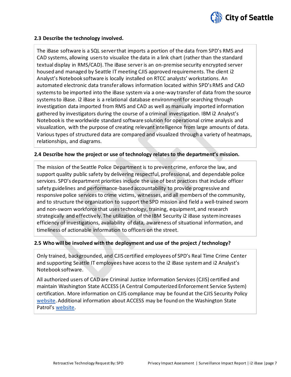

#### **2.3 Describe the technology involved.**

The iBase software is a SQL server that imports a portion of the data from SPD's RMS and CAD systems, allowing users to visualize the data in a link chart (rather than the standard textual display in RMS/CAD). The iBase server is an on-premise security encrypted server housed and managed by Seattle IT meeting CJIS approved requirements. The client i2 Analyst's Notebook software is locally installed on RTCC analysts' workstations. An automated electronic data transfer allows information located within SPD's RMS and CAD systems to be imported into the iBase system via a one-way transfer of data from the source systems to iBase. i2 iBase is a relational database environment for searching through investigation data imported from RMS and CAD as well as manually imported information gathered by investigators during the course of a criminal investigation. IBM i2 Analyst's Notebook is the worldwide standard software solution for operational crime analysis and visualization, with the purpose of creating relevant intelligence from large amounts of data. Various types of structured data are compared and visualized through a variety of heatmaps, relationships, and diagrams.

#### **2.4 Describe how the project or use of technology relates to the department's mission.**

The mission of the Seattle Police Department is to prevent crime, enforce the law, and support quality public safety by delivering respectful, professional, and dependable police services. SPD's department priorities include the use of best practices that include officer safety guidelines and performance-based accountability to provide progressive and responsive police services to crime victims, witnesses, and all members of the community, and to structure the organization to support the SPD mission and field a well-trained sworn and non-sworn workforce that uses technology, training, equipment, and research strategically and effectively. The utilization of the IBM Security i2 iBase system increases efficiency of investigations, availability of data, awareness of situational information, and timeliness of actionable information to officers on the street.

#### **2.5 Who will be involved with the deployment and use of the project / technology?**

Only trained, backgrounded, and CJIS certified employees of SPD's Real Time Crime Center and supporting Seattle IT employees have access to the i2 iBase system and i2 Analyst's Notebook software.

All authorized users of CAD are Criminal Justice Information Services (CJIS) certified and maintain Washington State ACCESS (A Central Computerized Enforcement Service System) certification. More information on CJIS compliance may be found at the CJIS Security Policy [website.](https://www.fbi.gov/services/cjis/cjis-security-policy-resource-center) Additional information about ACCESS may be found on the Washington State Patrol's [website.](http://www.wsp.wa.gov/_secured/access/access.htm)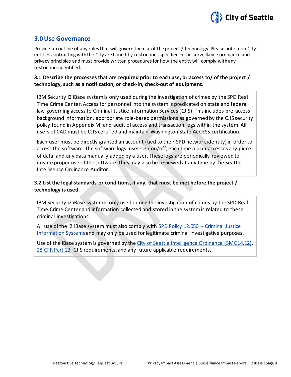

## **3.0 Use Governance**

Provide an outline of any rules that will govern the use of the project / technology. Please note: non-City entities contracting with the City are bound by restrictions specified in the surveillance ordinance and privacy principles and must provide written procedures for how the entity will comply with any restrictions identified.

#### **3.1 Describe the processes that are required prior to each use, or access to/ of the project / technology, such as a notification, or check-in, check-out of equipment.**

IBM Security i2 iBase system is only used during the investigation of crimes by the SPD Real Time Crime Center. Access for personnel into the system is predicated on state and federal law governing access to Criminal Justice Information Services (CJIS). This includes pre-access background information, appropriate role-based permissions as governed by the CJIS security policy found in Appendix M, and audit of access and transaction logs within the system. All users of CAD must be CJIS certified and maintain Washington State ACCESS certification.

Each user must be directly granted an account (tied to their SPD network identity) in order to access the software. The software logs: user sign on/off, each time a user accesses any piece of data, and any data manually added by a user. These logs are periodically reviewed to ensure proper use of the software; they may also be reviewed at any time by the Seattle Intelligence Ordinance Auditor.

## **3.2 List the legal standards or conditions, if any, that must be met before the project / technology is used.**

IBM Security i2 iBase system is only used during the investigation of crimes by the SPD Real Time Crime Center and information collected and stored in the system is related to these criminal investigations.

All use of the i2 iBase system must also comply with [SPD Policy 12.050 –](https://www.seattle.gov/police-manual/title-12---department-information-systems/12050---criminal-justice-information-systems) Criminal Justice [Information Systems](https://www.seattle.gov/police-manual/title-12---department-information-systems/12050---criminal-justice-information-systems) and may only be used for legitimate criminal investigative purposes.

Use of the iBase system is governed by the [City of Seattle Intelligence Ordinance](https://library.municode.com/wa/seattle/codes/municipal_code?nodeId=TIT14HURI_CH14.12COINLAENPU) (SMC 14.12), [28 CFR Part 23,](https://www.law.cornell.edu/cfr/text/28/part-23) CJIS requirements, and any future applicable requirements.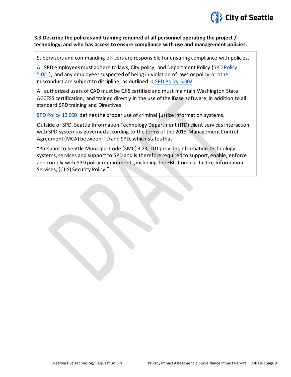

#### **3.3 Describe the policies and training required of all personnel operating the project / technology, and who has access to ensure compliance with use and management policies.**

Supervisors and commanding officers are responsible for ensuring compliance with policies.

All SPD employees must adhere to laws, City policy, and Department Policy [\(SPD Policy](http://www.seattle.gov/police-manual/title-5---employee-conduct/5001---standards-and-duties)  [5.001\)](http://www.seattle.gov/police-manual/title-5---employee-conduct/5001---standards-and-duties), and any employees suspected of being in violation of laws or policy or other misconduct are subject to discipline, as outlined in [SPD Policy 5.002.](http://www.seattle.gov/police-manual/title-5---employee-conduct/5002---responsibilities-of-employees-concerning-alleged-policy-violations)

All authorized users of CAD must be CJIS certified and must maintain Washington State ACCESS certification, and trained directly in the use of the iBase software, in addition to all standard SPD training and Directives.

[SPD Policy 12.050](http://www.seattle.gov/police-manual/title-12---department-information-systems/12050---criminal-justice-information-systems) defines the proper use of criminal justice information systems.

Outside of SPD, Seattle Information Technology Department (ITD) client services interaction with SPD systems is governed according to the terms of the 2018 Management Control Agreement (MCA) between ITD and SPD, which states that:

"Pursuant to Seattle Municipal Code (SMC) 3.23, ITD provides information technology systems, services and support to SPD and is therefore required to support, enable, enforce and comply with SPD policy requirements, including the FBIs Criminal Justice Information Services, (CJIS) Security Policy."

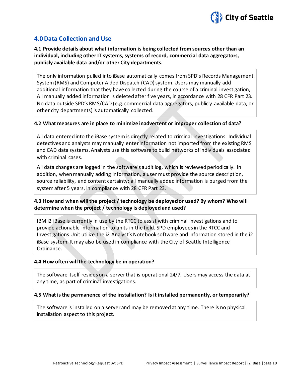

# **4.0 Data Collection and Use**

**4.1 Provide details about what information is being collected from sources other than an individual, including other IT systems, systems of record, commercial data aggregators, publicly available data and/or other City departments.**

The only information pulled into iBase automatically comes from SPD's Records Management System(RMS) and Computer Aided Dispatch (CAD) system. Users may manually add additional information that they have collected during the course of a criminal investigation,. All manually added information is deleted after five years, in accordance with 28 CFR Part 23. No data outside SPD's RMS/CAD (e.g. commercial data aggregators, publicly available data, or other city departments) is automatically collected.

#### **4.2 What measures are in place to minimize inadvertent or improper collection of data?**

All data entered into the iBase system is directly related to criminal investigations. Individual detectives and analysts may manually enter information not imported from the existing RMS and CAD data systems. Analysts use this software to build networks of individuals associated with criminal cases.

All data changes are logged in the software's audit log, which is reviewed periodically. In addition, when manually adding information, a user must provide the source description, source reliability, and content certainty; all manually added information is purged from the system after 5 years, in compliance with 28 CFR Part 23.

#### **4.3 How and when will the project / technology be deployed or used? By whom? Who will determine when the project / technology is deployed and used?**

IBM i2 iBase is currently in use by the RTCC to assist with criminal investigations and to provide actionable information to units in the field. SPD employees in the RTCC and Investigations Unit utilize the i2 Analyst's Notebook software and information stored in the i2 iBase system. It may also be used in compliance with the City of Seattle Intelligence Ordinance.

#### **4.4 How often will the technology be in operation?**

The software itself resides on a server that is operational 24/7. Users may access the data at any time, as part of criminal investigations.

#### **4.5 What is the permanence of the installation? Is it installed permanently, or temporarily?**

The software is installed on a server and may be removed at any time. There is no physical installation aspect to this project.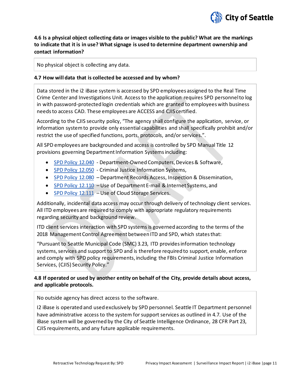

# **4.6 Is a physical object collecting data or images visible to the public? What are the markings to indicate that it is in use? What signage is used to determine department ownership and contact information?**

No physical object is collecting any data.

#### **4.7 How will data that is collected be accessed and by whom?**

Data stored in the i2 iBase system is accessed by SPD employees assigned to the Real Time Crime Center and Investigations Unit. Access to the application requires SPD personnel to log in with password-protected login credentials which are granted to employees with business needs to access CAD. These employees are ACCESS and CJIS certified.

According to the CJIS security policy, "The agency shall configure the application, service, or information system to provide only essential capabilities and shall specifically prohibit and/or restrict the use of specified functions, ports, protocols, and/or services.".

All SPD employees are backgrounded and access is controlled by SPD Manual Title 12 provisions governing Department Information Systems including:

- [SPD Policy 12.040](http://www.seattle.gov/police-manual/title-12---department-information-systems/12040---department-owned-computers-devices-and-software) Department-Owned Computers, Devices & Software,
- [SPD Policy 12.050](http://www.seattle.gov/police-manual/title-12---department-information-systems/12050---criminal-justice-information-systems) Criminal Justice Information Systems,
- [SPD Policy 12.080](http://www.seattle.gov/police-manual/title-12---department-information-systems/12080---department-records-access-inspection-and-dissemination) Department Records Access, Inspection & Dissemination,
- [SPD Policy 12.110](http://www.seattle.gov/police-manual/title-12---department-information-systems/12110---use-of-department-e-mail-and-internet-systems) Use of Department E-mail & Internet Systems, and
- [SPD Policy 12.111](http://www.seattle.gov/police-manual/title-12---department-information-systems/12111---use-of-cloud-storage-services) Use of Cloud Storage Services.

Additionally, incidental data access may occur through delivery of technology client services. All ITD employees are required to comply with appropriate regulatory requirements regarding security and background review.

ITD client services interaction with SPD systems is governed according to the terms of the 2018 Management Control Agreement between ITD and SPD, which states that:

"Pursuant to Seattle Municipal Code (SMC) 3.23, ITD provides information technology systems, services and support to SPD and is therefore required to support, enable, enforce and comply with SPD policy requirements, including the FBIs Criminal Justice Information Services, (CJIS) Security Policy."

#### **4.8 If operated or used by another entity on behalf of the City, provide details about access, and applicable protocols.**

No outside agency has direct access to the software.

I2 iBase is operated and used exclusively by SPD personnel. Seattle IT Department personnel have administrative access to the system for support services as outlined in 4.7. Use of the iBase system will be governed by the City of Seattle Intelligence Ordinance, 28 CFR Part 23, CJIS requirements, and any future applicable requirements.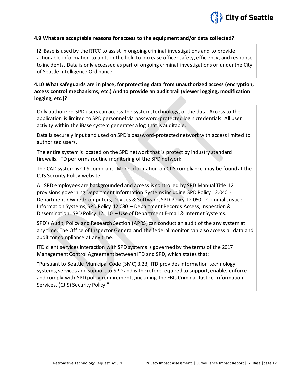

#### **4.9 What are acceptable reasons for access to the equipment and/or data collected?**

I2 iBase is used by the RTCC to assist in ongoing criminal investigations and to provide actionable information to units in the field to increase officer safety, efficiency, and response to incidents. Data is only accessed as part of ongoing criminal investigations or under the City of Seattle Intelligence Ordinance.

## **4.10 What safeguards are in place, for protecting data from unauthorized access (encryption, access control mechanisms, etc.) And to provide an audit trail (viewer logging, modification logging, etc.)?**

Only authorized SPD users can access the system, technology, or the data. Access to the application is limited to SPD personnel via password-protected login credentials. All user activity within the iBase system generates a log that is auditable.

Data is securely input and used on SPD's password-protected network with access limited to authorized users.

The entire system is located on the SPD network that is protect by industry standard firewalls. ITD performs routine monitoring of the SPD network.

The CAD system is CJIS compliant. More information on CJIS compliance may be found at the CJIS Security Policy website.

All SPD employees are backgrounded and access is controlled by SPD Manual Title 12 provisions governing Department Information Systems including SPD Policy 12.040 - Department-Owned Computers, Devices & Software, SPD Policy 12.050 - Criminal Justice Information Systems, SPD Policy 12.080 – Department Records Access, Inspection & Dissemination, SPD Policy 12.110 – Use of Department E-mail & Internet Systems.

SPD's Audit, Policy and Research Section (APRS) can conduct an audit of the any system at any time. The Office of Inspector General and the federal monitor can also access all data and audit for compliance at any time.

ITD client services interaction with SPD systems is governed by the terms of the 2017 Management Control Agreement between ITD and SPD, which states that:

"Pursuant to Seattle Municipal Code (SMC) 3.23, ITD provides information technology systems, services and support to SPD and is therefore required to support, enable, enforce and comply with SPD policy requirements, including the FBIs Criminal Justice Information Services, (CJIS) Security Policy."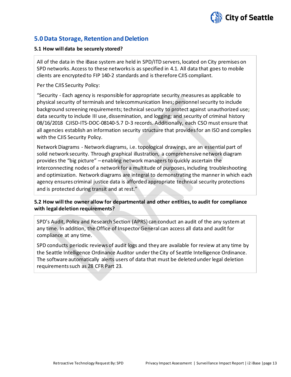

# **5.0 Data Storage, Retention and Deletion**

#### **5.1 How will data be securely stored?**

All of the data in the iBase system are held in SPD/ITD servers, located on City premises on SPD networks. Access to these networks is as specified in 4.1. All data that goes to mobile clients are encrypted to FIP 140-2 standards and is therefore CJIS compliant.

Per the CJIS Security Policy:

"Security - Each agency is responsible for appropriate security measures as applicable to physical security of terminals and telecommunication lines; personnel security to include background screening requirements; technical security to protect against unauthorized use; data security to include III use, dissemination, and logging; and security of criminal history 08/16/2018 CJISD-ITS-DOC-08140-5.7 D-3 records. Additionally, each CSO must ensure that all agencies establish an information security structure that provides for an ISO and complies with the CJIS Security Policy.

Network Diagrams - Network diagrams, i.e. topological drawings, are an essential part of solid network security. Through graphical illustration, a comprehensive network diagram provides the "big picture" – enabling network managers to quickly ascertain the interconnecting nodes of a network for a multitude of purposes, including troubleshooting and optimization. Network diagrams are integral to demonstrating the manner in which each agency ensures criminal justice data is afforded appropriate technical security protections and is protected during transit and at rest."

#### **5.2 How will the owner allow for departmental and other entities, to audit for compliance with legal deletion requirements?**

SPD's Audit, Policy and Research Section (APRS) can conduct an audit of the any system at any time. In addition, the Office of Inspector General can access all data and audit for compliance at any time.

SPD conducts periodic reviews of audit logs and they are available for review at any time by the Seattle Intelligence Ordinance Auditor under the City of Seattle Intelligence Ordinance. The software automatically alerts users of data that must be deleted under legal deletion requirements such as 28 CFR Part 23.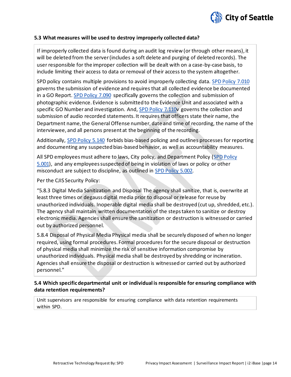

#### **5.3 What measures will be used to destroy improperly collected data?**

If improperly collected data is found during an audit log review (or through other means), it will be deleted from the server (includes a soft delete and purging of deleted records). The user responsible for the improper collection will be dealt with on a case-by-case basis, to include limiting their access to data or removal of their access to the system altogether.

SPD policy contains multiple provisions to avoid improperly collecting data. [SPD Policy 7.010](http://www.seattle.gov/police-manual/title-7---evidence-and-property/7010---submitting-evidence) governs the submission of evidence and requires that all collected evidence be documented in a GO Report. [SPD Policy 7.090](http://www.seattle.gov/police-manual/title-7---evidence-and-property/7090---photographic-evidence) specifically governs the collection and submission of photographic evidence. Evidence is submitted to the Evidence Unit and associated with a specific GO Number and investigation. And[, SPD Policy 7.110v](http://www.seattle.gov/police-manual/title-7---evidence-and-property/7010---submitting-evidence) governs the collection and submission of audio recorded statements. It requires that officers state their name, the Department name, the General Offense number, date and time of recording, the name of the interviewee, and all persons present at the beginning of the recording.

Additionally, [SPD Policy 5.140](http://www.seattle.gov/police-manual/title-5---employee-conduct/5140---bias-free-policing) forbids bias-based policing and outlines processes for reporting and documenting any suspected bias-based behavior, as well as accountability measures.

All SPD employees must adhere to laws, City policy, and Department Policy (SPD Policy [5.001\)](http://www.seattle.gov/police-manual/title-5---employee-conduct/5001---standards-and-duties), and any employees suspected of being in violation of laws or policy or other misconduct are subject to discipline, as outlined in [SPD Policy 5.002.](http://www.seattle.gov/police-manual/title-5---employee-conduct/5002---responsibilities-of-employees-concerning-alleged-policy-violations)

Per the CJIS Security Policy:

"5.8.3 Digital Media Sanitization and Disposal The agency shall sanitize, that is, overwrite at least three times or degauss digital media prior to disposal or release for reuse by unauthorized individuals. Inoperable digital media shall be destroyed (cut up, shredded, etc.). The agency shall maintain written documentation of the steps taken to sanitize or destroy electronic media. Agencies shall ensure the sanitization or destruction is witnessed or carried out by authorized personnel.

5.8.4 Disposal of Physical Media Physical media shall be securely disposed of when no longer required, using formal procedures. Formal procedures for the secure disposal or destruction of physical media shall minimize the risk of sensitive information compromise by unauthorized individuals. Physical media shall be destroyed by shredding or incineration. Agencies shall ensure the disposal or destruction is witnessed or carried out by authorized personnel."

#### **5.4 Which specific departmental unit or individual is responsible for ensuring compliance with data retention requirements?**

Unit supervisors are responsible for ensuring compliance with data retention requirements within SPD.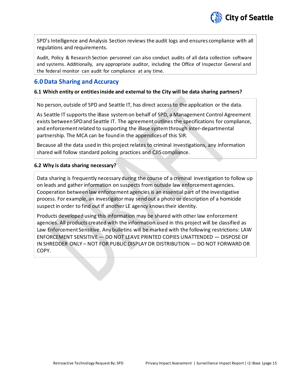

SPD's Intelligence and Analysis Section reviews the audit logs and ensures compliance with all regulations and requirements.

Audit, Policy & Research Section personnel can also conduct audits of all data collection software and systems. Additionally, any appropriate auditor, including the Office of Inspector General and the federal monitor can audit for compliance at any time.

# **6.0 Data Sharing and Accuracy**

#### **6.1 Which entity or entities inside and external to the City will be data sharing partners?**

No person, outside of SPD and Seattle IT, has direct access to the application or the data.

As Seattle IT supports the iBase system on behalf of SPD, a Management Control Agreement exists between SPD and Seattle IT. The agreement outlines the specifications for compliance, and enforcement related to supporting the iBase system through inter-departmental partnership. The MCA can be found in the appendices of this SIR.

Because all the data used in this project relates to criminal investigations, any information shared will follow standard policing practices and CJIS compliance.

#### **6.2 Why is data sharing necessary?**

Data sharing is frequently necessary during the course of a criminal investigation to follow up on leads and gather information on suspects from outside law enforcement agencies. Cooperation between law enforcement agencies is an essential part of the investigative process. For example, an investigator may send out a photo or description of a homicide suspect in order to find out if another LE agency knows their identity.

Products developed using this information may be shared with other law enforcement agencies. All products created with the information used in this project will be classified as Law Enforcement Sensitive. Any bulletins will be marked with the following restrictions: LAW ENFORCEMENT SENSITIVE — DO NOT LEAVE PRINTED COPIES UNATTENDED — DISPOSE OF IN SHREDDER ONLY – NOT FOR PUBLIC DISPLAY OR DISTRIBUTION — DO NOT FORWARD OR COPY.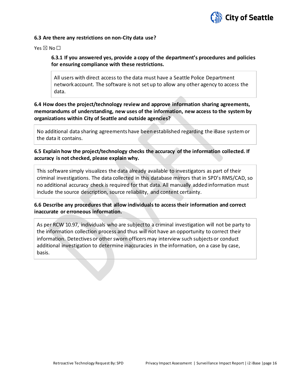

#### **6.3 Are there any restrictions on non-City data use?**

Yes  $\boxtimes$  No  $\square$ 

#### **6.3.1 If you answered yes, provide a copy of the department's procedures and policies for ensuring compliance with these restrictions.**

All users with direct access to the data must have a Seattle Police Department network account. The software is not set up to allow any other agency to access the data.

# **6.4 How does the project/technology review and approve information sharing agreements, memorandums of understanding, new uses of the information, new access to the system by organizations within City of Seattle and outside agencies?**

No additional data sharing agreements have been established regarding the iBase system or the data it contains.

## **6.5 Explain how the project/technology checks the accuracy of the information collected. If accuracy is not checked, please explain why.**

This software simply visualizes the data already available to investigators as part of their criminal investigations. The data collected in this database mirrors that in SPD's RMS/CAD, so no additional accuracy check is required for that data. All manually added information must include the source description, source reliability, and content certainty.

#### **6.6 Describe any procedures that allow individuals to access their information and correct inaccurate or erroneous information.**

As per RCW 10.97, individuals who are subject to a criminal investigation will not be party to the information collection process and thus will not have an opportunity to correct their information. Detectives or other sworn officers may interview such subjects or conduct additional investigation to determine inaccuracies in the information, on a case by case, basis.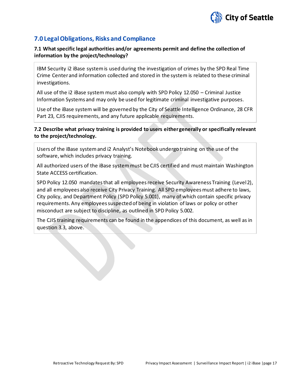

# **7.0 Legal Obligations, Risks and Compliance**

## **7.1 What specific legal authorities and/or agreements permit and define the collection of information by the project/technology?**

IBM Security i2 iBase system is used during the investigation of crimes by the SPD Real Time Crime Center and information collected and stored in the system is related to these criminal investigations.

All use of the i2 iBase system must also comply with SPD Policy 12.050 – Criminal Justice Information Systems and may only be used for legitimate criminal investigative purposes.

Use of the iBase system will be governed by the City of Seattle Intelligence Ordinance, 28 CFR Part 23, CJIS requirements, and any future applicable requirements.

#### **7.2 Describe what privacy training is provided to users either generally or specifically relevant to the project/technology.**

Users of the iBase system and i2 Analyst's Notebook undergo training on the use of the software, which includes privacy training.

All authorized users of the iBase system must be CJIS certified and must maintain Washington State ACCESS certification.

SPD Policy 12.050 mandates that all employees receive Security Awareness Training (Level 2), and all employees also receive City Privacy Training. All SPD employees must adhere to laws, City policy, and Department Policy (SPD Policy 5.001), many of which contain specific privacy requirements. Any employees suspected of being in violation of laws or policy or other misconduct are subject to discipline, as outlined in SPD Policy 5.002.

The CJIS training requirements can be found in the appendices of this document, as well as in question 3.3, above.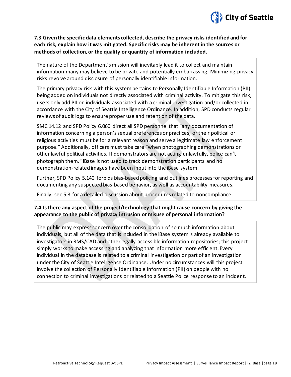

# **7.3 Given the specific data elements collected, describe the privacy risks identified and for each risk, explain how it was mitigated. Specific risks may be inherent in the sources or methods of collection, or the quality or quantity of information included.**

The nature of the Department's mission will inevitably lead it to collect and maintain information many may believe to be private and potentially embarrassing. Minimizing privacy risks revolve around disclosure of personally identifiable information.

The primary privacy risk with this system pertains to Personally Identifiable Information (PII) being added on individuals not directly associated with criminal activity. To mitigate this risk, users only add PII on individuals associated with a criminal investigation and/or collected in accordance with the City of Seattle Intelligence Ordinance. In addition, SPD conducts regular reviews of audit logs to ensure proper use and retention of the data.

SMC 14.12 and SPD Policy 6.060 direct all SPD personnel that "any documentation of information concerning a person's sexual preferences or practices, or their political or religious activities must be for a relevant reason and serve a legitimate law enforcement purpose." Additionally, officers must take care "when photographing demonstrations or other lawful political activities. If demonstrators are not acting unlawfully, police can't photograph them." iBase is not used to track demonstration participants and no demonstration-related images have been input into the iBase system.

Further, SPD Policy 5.140 forbids bias-based policing and outlines processes for reporting and documenting any suspected bias-based behavior, as well as accountability measures.

Finally, see 5.3 for a detailed discussion about procedures related to noncompliance.

#### **7.4 Is there any aspect of the project/technology that might cause concern by giving the appearance to the public of privacy intrusion or misuse of personal information?**

The public may express concern over the consolidation of so much information about individuals, but all of the data that is included in the iBase system is already available to investigators in RMS/CAD and other legally accessible information repositories; this project simply works to make accessing and analyzing that information more efficient. Every individual in the database is related to a criminal investigation or part of an investigation under the City of Seattle Intelligence Ordinance. Under no circumstances will this project involve the collection of Personally Identifiable Information (PII) on people with no connection to criminal investigations or related to a Seattle Police response to an incident.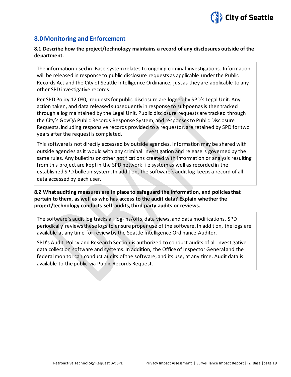

# **8.0 Monitoring and Enforcement**

#### **8.1 Describe how the project/technology maintains a record of any disclosures outside of the department.**

The information used in iBase systemrelates to ongoing criminal investigations. Information will be released in response to public disclosure requests as applicable under the Public Records Act and the City of Seattle Intelligence Ordinance, just as they are applicable to any other SPD investigative records.

Per SPD Policy 12.080, requests for public disclosure are logged by SPD's Legal Unit. Any action taken, and data released subsequently in response to subpoenas is then tracked through a log maintained by the Legal Unit. Public disclosure requests are tracked through the City's GovQA Public Records Response System, and responses to Public Disclosure Requests, including responsive records provided to a requestor, are retained by SPD for two years after the request is completed.

This software is not directly accessed by outside agencies. Information may be shared with outside agencies as it would with any criminal investigation and release is governed by the same rules. Any bulletins or other notifications created with information or analysis resulting from this project are kept in the SPD network file system as well as recorded in the established SPD bulletin system. In addition, the software's audit log keeps a record of all data accessed by each user.

#### **8.2 What auditing measures are in place to safeguard the information, and policies that pertain to them, as well as who has access to the audit data? Explain whether the project/technology conducts self-audits, third party audits or reviews.**

The software's audit log tracks all log-ins/offs, data views, and data modifications. SPD periodically reviews these logs to ensure proper use of the software. In addition, the logs are available at any time for review by the Seattle Intelligence Ordinance Auditor.

SPD's Audit, Policy and Research Section is authorized to conduct audits of all investigative data collection software and systems. In addition, the Office of Inspector General and the federal monitor can conduct audits of the software, and its use, at any time. Audit data is available to the public via Public Records Request.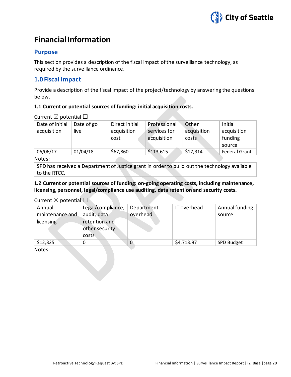

# **Financial Information**

# **Purpose**

This section provides a description of the fiscal impact of the surveillance technology, as required by the surveillance ordinance.

# **1.0 Fiscal Impact**

Provide a description of the fiscal impact of the project/technology by answering the questions below.

#### **1.1 Current or potential sources of funding: initial acquisition costs.**

Current  $\boxtimes$  potential  $\Box$ 

| Date of initial | Date of go | Direct initial | Professional | Other       | Initial              |
|-----------------|------------|----------------|--------------|-------------|----------------------|
| acquisition     | live       | acquisition    | services for | acquisition | acquisition          |
|                 |            | cost           | acquisition  | costs       | funding              |
|                 |            |                |              |             | source               |
| 06/06/17        | 01/04/18   | \$67,860       | \$113,615    | \$17,314    | <b>Federal Grant</b> |
| Notes:          |            |                |              |             |                      |

Notes:

SPD has received a Department of Justice grant in order to build out the technology available to the RTCC.

**1.2 Current or potential sources of funding: on-going operating costs, including maintenance, licensing, personnel, legal/compliance use auditing, data retention and security costs.**

#### Current  $\nabla$  potential  $\nabla$

| Annual<br>maintenance and<br>licensing | Legal/compliance,<br>audit, data<br>retention and<br>other security<br>costs | Department<br>overhead | IT overhead | Annual funding<br>source |
|----------------------------------------|------------------------------------------------------------------------------|------------------------|-------------|--------------------------|
| \$12,325                               |                                                                              | O                      | \$4,713.97  | SPD Budget               |

Notes: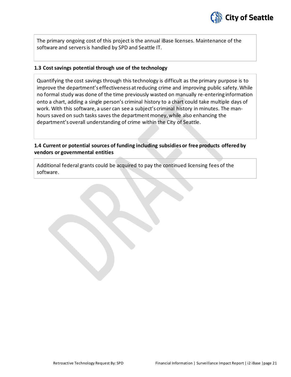

The primary ongoing cost of this project is the annual iBase licenses. Maintenance of the software and servers is handled by SPD and Seattle IT.

#### **1.3 Cost savings potential through use of the technology**

Quantifying the cost savings through this technology is difficult as the primary purpose is to improve the department's effectiveness at reducing crime and improving public safety. While no formal study was done of the time previously wasted on manually re-entering information onto a chart, adding a single person's criminal history to a chart could take multiple days of work. With this software, a user can see a subject's criminal history in minutes. The manhours saved on such tasks saves the department money, while also enhancing the department's overall understanding of crime within the City of Seattle.

**1.4 Current or potential sources of funding including subsidies or free products offered by vendors or governmental entities**

Additional federal grants could be acquired to pay the continued licensing fees of the software.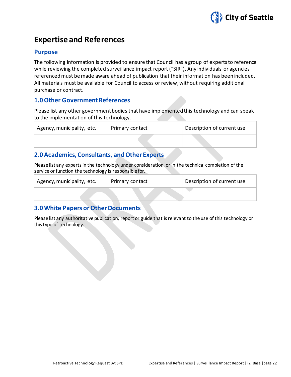

# **Expertise and References**

# **Purpose**

The following information is provided to ensure that Council has a group of experts to reference while reviewing the completed surveillance impact report ("SIR"). Any individuals or agencies referenced must be made aware ahead of publication that their information has been included. All materials must be available for Council to access or review, without requiring additional purchase or contract.

# **1.0 Other Government References**

Please list any other government bodies that have implemented this technology and can speak to the implementation of this technology.

| Agency, municipality, etc. | Primary contact | Description of current use |
|----------------------------|-----------------|----------------------------|
|                            |                 |                            |

# **2.0 Academics, Consultants, and Other Experts**

Please list any experts in the technology under consideration, or in the technical completion of the service or function the technology is responsible for.

| Agency, municipality, etc. | Primary contact | Description of current use |
|----------------------------|-----------------|----------------------------|
|                            |                 |                            |

# **3.0 White Papers or Other Documents**

Please list any authoritative publication, report or guide that is relevant to the use of this technology or this type of technology.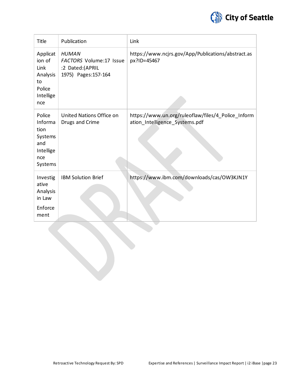

| Title                                                                      | Publication                                                                               | Link                                                                                 |
|----------------------------------------------------------------------------|-------------------------------------------------------------------------------------------|--------------------------------------------------------------------------------------|
| Applicat<br>ion of<br>Link<br>Analysis<br>to<br>Police<br>Intellige<br>nce | <b>HUMAN</b><br><b>FACTORS Volume:17 Issue</b><br>:2 Dated:(APRIL<br>1975) Pages: 157-164 | https://www.ncjrs.gov/App/Publications/abstract.as<br>px?ID=45467                    |
| Police<br>Informa<br>tion<br>Systems<br>and<br>Intellige<br>nce<br>Systems | United Nations Office on<br>Drugs and Crime                                               | https://www.un.org/ruleoflaw/files/4 Police Inform<br>ation_Intelligence_Systems.pdf |
| Investig<br>ative<br>Analysis<br>in Law<br>Enforce<br>ment                 | <b>IBM Solution Brief</b>                                                                 | https://www.ibm.com/downloads/cas/OW3KJN1Y                                           |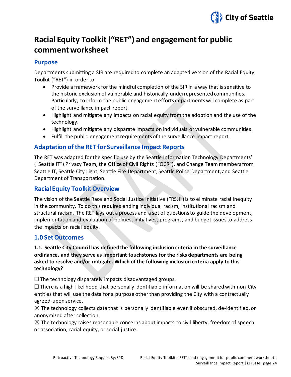

# **Racial Equity Toolkit ("RET") and engagement for public commentworksheet**

# **Purpose**

Departments submitting a SIR are required to complete an adapted version of the Racial Equity Toolkit ("RET") in order to:

- Provide a framework for the mindful completion of the SIR in a way that is sensitive to the historic exclusion of vulnerable and historically underrepresented communities. Particularly, to inform the public engagement efforts departments will complete as part of the surveillance impact report.
- Highlight and mitigate any impacts on racial equity from the adoption and the use of the technology.
- Highlight and mitigate any disparate impacts on individuals or vulnerable communities.
- Fulfill the public engagement requirements of the surveillance impact report.

# **Adaptation of the RET for Surveillance Impact Reports**

The RET was adapted for the specific use by the Seattle Information Technology Departments' ("Seattle IT") Privacy Team, the Office of Civil Rights ("OCR"), and Change Team members from Seattle IT, Seattle City Light, Seattle Fire Department, Seattle Police Department, and Seattle Department of Transportation.

# **Racial Equity Toolkit Overview**

The vision of the Seattle Race and Social Justice Initiative ("RSJI") is to eliminate racial inequity in the community. To do this requires ending individual racism, institutional racism and structural racism. The RET lays out a process and a set of questions to guide the development, implementation and evaluation of policies, initiatives, programs, and budget issues to address the impacts on racial equity.

# **1.0 Set Outcomes**

# **1.1. Seattle City Council has defined the following inclusion criteria in the surveillance ordinance, and they serve as important touchstones for the risks departments are being asked to resolve and/or mitigate. Which of the following inclusion criteria apply to this technology?**

 $\Box$  The technology disparately impacts disadvantaged groups.

 $\Box$  There is a high likelihood that personally identifiable information will be shared with non-City entities that will use the data for a purpose other than providing the City with a contractually agreed-upon service.

 $\boxtimes$  The technology collects data that is personally identifiable even if obscured, de-identified, or anonymized after collection.

 $\boxtimes$  The technology raises reasonable concerns about impacts to civil liberty, freedom of speech or association, racial equity, or social justice.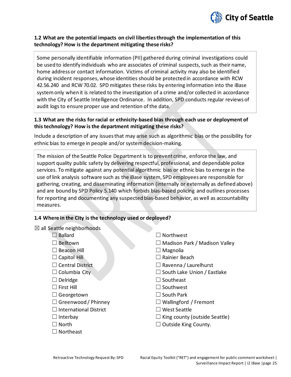

#### **1.2 What are the potential impacts on civil liberties through the implementation of this technology? How is the department mitigating these risks?**

Some personally identifiable information (PII) gathered during criminal investigations could be used to identify individuals who are associates of criminal suspects, such as their name, home address or contact information. Victims of criminal activity may also be identified during incident responses, whose identities should be protected in accordance with RCW 42.56.240 and RCW 70.02. SPD mitigates these risks by entering information into the iBase system only when it is related to the investigation of a crime and/or collected in accordance with the City of Seattle Intelligence Ordinance. In addition, SPD conducts regular reviews of audit logs to ensure proper use and retention of the data.

#### **1.3 What are the risks for racial or ethnicity-based bias through each use or deployment of this technology? How is the department mitigating these risks?**

Include a description of any issues that may arise such as algorithmic bias or the possibility for ethnic bias to emerge in people and/or system decision-making.

The mission of the Seattle Police Department is to prevent crime, enforce the law, and support quality public safety by delivering respectful, professional, and dependable police services. To mitigate against any potential algorithmic bias or ethnic bias to emerge in the use of link analysis software such as the iBase system, SPD employees are responsible for gathering, creating, and disseminating information (internally or externally as defined above) and are bound by SPD Policy 5.140 which forbids bias-based policing and outlines processes for reporting and documenting any suspected bias-based behavior, as well as accountability measures.

#### **1.4 Where in the City is the technology used or deployed?**

|  |  |  |  | $\boxtimes$ all Seattle neighborhoods |
|--|--|--|--|---------------------------------------|
|--|--|--|--|---------------------------------------|

| <b>Ballard</b>                | $\Box$ Northwest                     |
|-------------------------------|--------------------------------------|
| $\Box$ Belltown               | $\Box$ Madison Park / Madison Valley |
| $\Box$ Beacon Hill            | $\Box$ Magnolia                      |
| $\Box$ Capitol Hill           | $\Box$ Rainier Beach                 |
| $\Box$ Central District       | $\Box$ Ravenna / Laurelhurst         |
| $\Box$ Columbia City          | $\Box$ South Lake Union / Eastlake   |
| $\Box$ Delridge               | $\Box$ Southeast                     |
| $\Box$ First Hill             | $\Box$ Southwest                     |
| $\Box$ Georgetown             | $\Box$ South Park                    |
| $\Box$ Greenwood / Phinney    | $\Box$ Wallingford / Fremont         |
| $\Box$ International District | $\lrcorner$ West Seattle             |
| $\Box$ Interbay               | $\Box$ King county (outside Seattle) |
| $\Box$ North                  | $\Box$ Outside King County.          |
| $\Box$ Northeast              |                                      |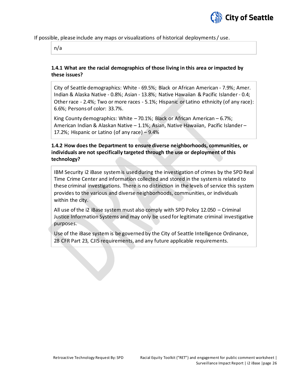

#### If possible, please include any maps or visualizations of historical deployments / use.

n/a

#### **1.4.1 What are the racial demographics of those living in this area or impacted by these issues?**

City of Seattle demographics: White - 69.5%; Black or African American - 7.9%; Amer. Indian & Alaska Native - 0.8%; Asian - 13.8%; Native Hawaiian & Pacific Islander - 0.4; Other race - 2.4%; Two or more races - 5.1%; Hispanic or Latino ethnicity (of any race): 6.6%; Persons of color: 33.7%.

King County demographics: White – 70.1%; Black or African American – 6.7%; American Indian & Alaskan Native – 1.1%; Asian, Native Hawaiian, Pacific Islander – 17.2%; Hispanic or Latino (of any race) – 9.4%

## **1.4.2 How does the Department to ensure diverse neighborhoods, communities, or individuals are not specifically targeted through the use or deployment of this technology?**

IBM Security i2 iBase system is used during the investigation of crimes by the SPD Real Time Crime Center and information collected and stored in the system is related to these criminal investigations. There is no distinction in the levels of service this system provides to the various and diverse neighborhoods, communities, or individuals within the city.

All use of the i2 iBase system must also comply with SPD Policy 12.050 – Criminal Justice Information Systems and may only be used for legitimate criminal investigative purposes.

Use of the iBase system is be governed by the City of Seattle Intelligence Ordinance, 28 CFR Part 23, CJIS requirements, and any future applicable requirements.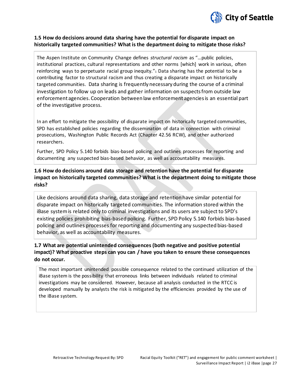

#### **1.5 How do decisions around data sharing have the potential for disparate impact on historically targeted communities? What is the department doing to mitigate those risks?**

The Aspen Institute on Community Change defines *structural racism* as "…public policies, institutional practices, cultural representations and other norms [which] work in various, often reinforcing ways to perpetuate racial group inequity. $\alpha_1$  Data sharing has the potential to be a contributing factor to structural racism and thus creating a disparate impact on historically targeted communities. Data sharing is frequently necessary during the course of a criminal investigation to follow up on leads and gather information on suspects from outside law enforcement agencies. Cooperation between law enforcement agencies is an essential part of the investigative process.

In an effort to mitigate the possibility of disparate impact on historically targeted communities, SPD has established policies regarding the dissemination of data in connection with criminal prosecutions, Washington Public Records Act (Chapter 42.56 RCW), and other authorized researchers.

Further, SPD Policy 5.140 forbids bias-based policing and outlines processes for reporting and documenting any suspected bias-based behavior, as well as accountability measures.

# **1.6 How do decisions around data storage and retention have the potential for disparate impact on historically targeted communities? What is the department doing to mitigate those risks?**

Like decisions around data sharing, data storage and retention have similar potential for disparate impact on historically targeted communities. The information stored within the iBase system is related only to criminal investigations and its users are subject to SPD's existing policies prohibiting bias-based policing. Further, SPD Policy 5.140 forbids bias-based policing and outlines processes for reporting and documenting any suspected bias-based behavior, as well as accountability measures.

# **1.7 What are potential unintended consequences (both negative and positive potential impact)? What proactive steps can you can / have you taken to ensure these consequences do not occur.**

The most important unintended possible consequence related to the continued utilization of the iBase system is the possibility that erroneous links between individuals related to criminal investigations may be considered. However, because all analysis conducted in the RTCC is developed manually by analysts the risk is mitigated by the efficiencies provided by the use of the iBase system.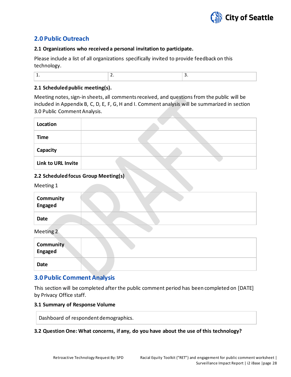

# **2.0 Public Outreach**

#### **2.1 Organizations who received a personal invitation to participate.**

Please include a list of all organizations specifically invited to provide feedback on this technology.

| - |
|---|
|---|

#### **2.1 Scheduled public meeting(s).**

Meeting notes, sign-in sheets, all comments received, and questions from the public will be included in Appendix B, C, D, E, F, G, H and I. Comment analysis will be summarized in section 3.0 Public Comment Analysis.

| Location           |  |
|--------------------|--|
| <b>Time</b>        |  |
| Capacity           |  |
| Link to URL Invite |  |

## **2.2 Scheduled focus Group Meeting(s)**

Meeting 1

| Community<br><b>Engaged</b> |  |
|-----------------------------|--|
| <b>Date</b>                 |  |
| Meeting 2                   |  |
| <b>Community</b><br>Engaged |  |

**Date**

# **3.0 Public Comment Analysis**

This section will be completed after the public comment period has been completed on [DATE] by Privacy Office staff.

#### **3.1 Summary of Response Volume**

Dashboard of respondent demographics.

#### **3.2 Question One: What concerns, if any, do you have about the use of this technology?**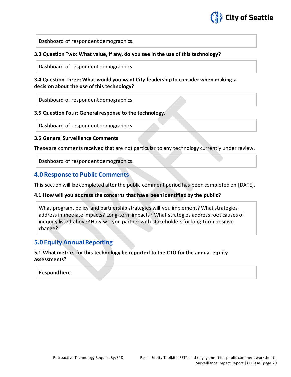

Dashboard of respondent demographics.

#### **3.3 Question Two: What value, if any, do you see in the use of this technology?**

Dashboard of respondent demographics.

#### **3.4 Question Three: What would you want City leadership to consider when making a decision about the use of this technology?**

Dashboard of respondent demographics.

#### **3.5 Question Four: General response to the technology.**

Dashboard of respondent demographics.

#### **3.5 General Surveillance Comments**

These are comments received that are not particular to any technology currently under review.

Dashboard of respondent demographics.

#### **4.0 Response to Public Comments**

This section will be completed after the public comment period has been completed on [DATE].

#### **4.1 How will you address the concerns that have been identified by the public?**

What program, policy and partnership strategies will you implement? What strategies address immediate impacts? Long-term impacts? What strategies address root causes of inequity listed above? How will you partner with stakeholders for long-term positive change?

## **5.0 Equity Annual Reporting**

#### **5.1 What metrics for this technology be reported to the CTO for the annual equity assessments?**

Respond here.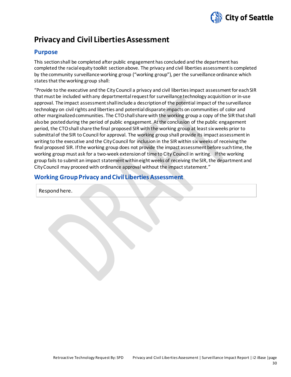

# **Privacy and Civil Liberties Assessment**

# **Purpose**

This section shall be completed after public engagement has concluded and the department has completed the racial equity toolkit section above. The privacy and civil liberties assessment is completed by the community surveillance working group ("working group"), per the surveillance ordinance which states that the working group shall:

"Provide to the executive and the CityCouncil a privacy and civil liberties impact assessment for each SIR that must be included with any departmental request for surveillance technology acquisition or in-use approval. The impact assessment shall include a description of the potential impact of the surveillance technology on civil rights and liberties and potential disparate impacts on communities of color and other marginalized communities. The CTOshall share with the working group a copy of the SIR that shall also be posted during the period of public engagement. At the conclusion of the public engagement period, the CTOshall share the final proposed SIR with the working group at least six weeks prior to submittal of the SIR to Council for approval. The working group shall provide its impact assessment in writing to the executive and the CityCouncil for inclusion in the SIR within six weeks of receiving the final proposed SIR. If the working group does not provide the impact assessment before such time, the working group must ask for a two-week extension of time to City Council in writing. If the working group fails to submit an impact statement within eight weeks of receiving the SIR, the department and CityCouncil may proceed with ordinance approval without the impact statement."

# **Working Group Privacy and Civil Liberties Assessment**

Respond here.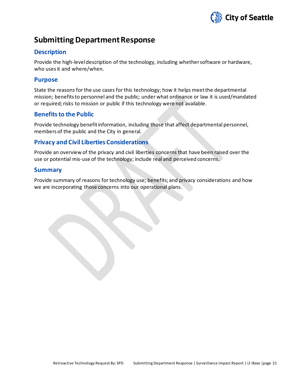

# **Submitting Department Response**

# **Description**

Provide the high-level description of the technology, including whether software or hardware, who uses it and where/when.

## **Purpose**

State the reasons for the use cases for this technology; how it helps meet the departmental mission; benefits to personnel and the public; under what ordinance or law it is used/mandated or required; risks to mission or public if this technology were not available.

# **Benefits to the Public**

Provide technology benefit information, including those that affect departmental personnel, members of the public and the City in general.

# **Privacy and Civil Liberties Considerations**

Provide an overview of the privacy and civil liberties concerns that have been raised over the use or potential mis-use of the technology; include real and perceived concerns.

# **Summary**

Provide summary of reasons for technology use; benefits; and privacy considerations and how we are incorporating those concerns into our operational plans.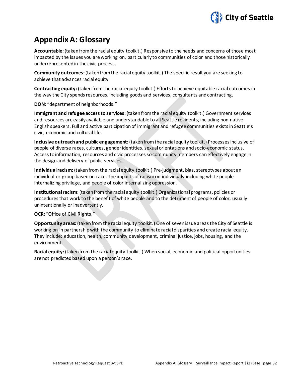

# **Appendix A: Glossary**

**Accountable:** (taken from the racial equity toolkit.) Responsive to the needs and concerns of those most impacted by the issues you are working on, particularly to communities of color and those historically underrepresented in the civic process.

**Community outcomes:** (takenfrom the racial equity toolkit.) The specific result you are seeking to achieve that advances racial equity.

**Contracting equity:** (taken from the racial equity toolkit.) Efforts to achieve equitable racial outcomes in the way the City spends resources, including goods and services, consultants and contracting.

**DON:** "department of neighborhoods."

**Immigrant and refugee access to services:**(taken from the racial equity toolkit.) Government services and resources are easily available and understandable to all Seattle residents, including non-native English speakers. Full and active participation of immigrant and refugee communities exists in Seattle's civic, economic and cultural life.

**Inclusive outreach and public engagement:** (taken from the racial equity toolkit.) Processes inclusive of people of diverse races, cultures, gender identities, sexual orientations and socio-economic status. Access to information, resources and civic processes so community members can effectively engage in the design and delivery of public services.

**Individual racism:** (taken from the racial equity toolkit.) Pre-judgment, bias, stereotypes about an individual or group based on race. The impacts of racism on individuals including white people internalizing privilege, and people of color internalizing oppression.

**Institutional racism:** (taken from the racial equity toolkit.) Organizational programs, policies or procedures that work to the benefit of white people and to the detriment of people of color, usually unintentionally or inadvertently.

#### **OCR**: "Office of Civil Rights."

**Opportunity areas:** (taken from the racial equity toolkit.) One of seven issue areas the City of Seattle is working on in partnership with the community to eliminate racial disparities and create racial equity. They include: education, health, community development, criminal justice, jobs, housing, and the environment.

**Racial equity:** (taken from the racial equity toolkit.) When social, economic and political opportunities are not predicted based upon a person's race.